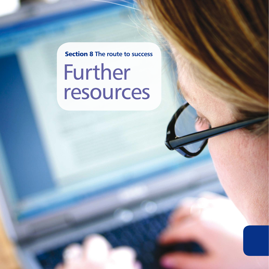# Further resources Section 8 **The route to success**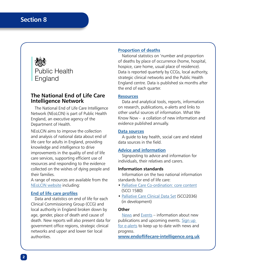

# **The National End of Life Care Intelligence Network**

The National End of Life Care Intelligence Network (NEoLCIN) is part of Public Health England, an executive agency of the Department of Health.

NEoLCIN aims to improve the collection and analysis of national data about end of life care for adults in England, providing knowledge and intelligence to drive improvements in the quality of end of life care services, supporting efficient use of resources and responding to the evidence collected on the wishes of dying people and their families.

A range of resources are available from the [NEoLCIN website](http://www.endoflifecare-intelligence.org.uk/home) including:

#### **[End of life care profiles](http://www.endoflifecare-intelligence.org.uk/end_of_life_care_profiles/)**

Data and statistics on end of life for each Clinical Commissioning Group (CCG) and local authority in England broken down by age, gender, place of death and cause of death. New reports will also present data for government office regions, strategic clinical networks and upper and lower tier local authorities.

#### **[Proportion of deaths](http://www.endoflifecare-intelligence.org.uk/data_sources/place_of_death)**

National statistics on 'number and proportion of deaths by place of occurrence (home, hospital, hospice, care home, usual place of residence). Data is reported quarterly by CCGs, local authority, strategic clinical networks and the Public Health England centre. Data is published six months after the end of each quarter.

#### **[Resources](http://www.endoflifecare-intelligence.org.uk/resources/)**

Data and analytical tools, reports, information on research, publications, e-alerts and links to other useful sources of information. What We Know Now - a collation of new information and evidence published annually.

#### **[Data sources](http://www.endoflifecare-intelligence.org.uk/data_sources/)**

A guide to key health, social care and related data sources in the field.

#### **[Advice and information](http://www.endoflifecare-intelligence.org.uk/advice_and_information)**

Signposting to advice and information for individuals, their relatives and carers.

#### **Information standards**

Information on the two national information standards for end of life care:

- [Palliative Care Co-ordination: core content](http://www.endoflifecare-intelligence.org.uk/national_information_standard/end_of_life_care_coordination/) (SCCI 1580)
- [Palliative Care Clinical Data Set](http://www.endoflifecare-intelligence.org.uk/national_information_standard/palliative_care_dataset/) (SCCI2036) (in development)

#### **Other**

[News](http://www.endoflifecare-intelligence.org.uk/news/) and [Events](http://www.endoflifecare-intelligence.org.uk/events/) – information about new publications and upcoming events. [Sign up](http://www.endoflifecare-intelligence.org.uk/contact/email_alerts)  [for e-alerts](http://www.endoflifecare-intelligence.org.uk/contact/email_alerts) to keep up to date with news and progress.

**[www.endoflifecare-intelligence.org.uk](http://www.endoflifecare-intelligence.org.uk)**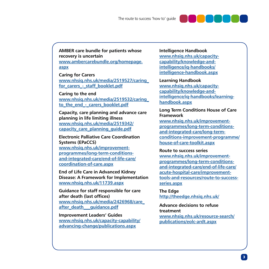

**AMBER care bundle for patients whose recovery is uncertain [www.ambercarebundle.org/homepage.](http://www.ambercarebundle.org/homepage.aspx) [aspx](http://www.ambercarebundle.org/homepage.aspx)**

**Caring for Carers [www.nhsiq.nhs.uk/media/2519527/caring\\_](http://www.nhsiq.nhs.uk/media/2519527/caring_for_carers_-_staff_booklet.pdf)** for carers - staff booklet.pdf

**Caring to the end [www.nhsiq.nhs.uk/media/2519532/caring\\_](http://www.nhsiq.nhs.uk/media/2519532/caring_to_the_end_-_carers_booklet.pdf)** to the end - carers booklet.pdf

**Capacity, care planning and advance care planning in life limiting illness [www.nhsiq.nhs.uk/media/2519342/](http://www.nhsiq.nhs.uk/media/2519342/capacity_care_planning_guide.pdf) [capacity\\_care\\_planning\\_guide.pdf](http://www.nhsiq.nhs.uk/media/2519342/capacity_care_planning_guide.pdf)**

**Electronic Palliative Care Coordination Systems (EPaCCS) [www.nhsiq.nhs.uk/improvement](http://www.nhsiq.nhs.uk/improvement-programmes/long-term-conditions-and-integrated-care/end-of-life-care/coordination-of-care.aspx)[programmes/long-term-conditions](http://www.nhsiq.nhs.uk/improvement-programmes/long-term-conditions-and-integrated-care/end-of-life-care/coordination-of-care.aspx)[and-integrated-care/end-of-life-care/](http://www.nhsiq.nhs.uk/improvement-programmes/long-term-conditions-and-integrated-care/end-of-life-care/coordination-of-care.aspx) [coordination-of-care.aspx](http://www.nhsiq.nhs.uk/improvement-programmes/long-term-conditions-and-integrated-care/end-of-life-care/coordination-of-care.aspx)**

**End of Life Care in Advanced Kidney Disease: A Framework for Implementation [www.nhsiq.nhs.uk/11739.aspx](http://www.nhsiq.nhs.uk/11739.aspx)**

**Guidance for staff responsible for care after death (last offices) [www.nhsiq.nhs.uk/media/2426968/care\\_](http://www.nhsiq.nhs.uk/media/2426968/care_after_death___guidance.pdf) [after\\_death\\_\\_\\_guidance.pdf](http://www.nhsiq.nhs.uk/media/2426968/care_after_death___guidance.pdf)**

**Improvement Leaders' Guides [www.nhsiq.nhs.uk/capacity-capability/](http://www.nhsiq.nhs.uk/capacity-capability/advancing-change/publications.aspx) [advancing-change/publications.aspx](http://www.nhsiq.nhs.uk/capacity-capability/advancing-change/publications.aspx)**

**Intelligence Handbook [www.nhsiq.nhs.uk/capacity](http://www.nhsiq.nhs.uk/capacity-capability/knowledge-and-intelligence/iq-handbooks/intelligence-handbook.aspx)[capability/knowledge-and](http://www.nhsiq.nhs.uk/capacity-capability/knowledge-and-intelligence/iq-handbooks/intelligence-handbook.aspx)[intelligence/iq-handbooks/](http://www.nhsiq.nhs.uk/capacity-capability/knowledge-and-intelligence/iq-handbooks/intelligence-handbook.aspx) [intelligence-handbook.aspx](http://www.nhsiq.nhs.uk/capacity-capability/knowledge-and-intelligence/iq-handbooks/intelligence-handbook.aspx)**

**Learning Handbook [www.nhsiq.nhs.uk/capacity](http://www.nhsiq.nhs.uk/capacity-capability/knowledge-and-intelligence/iq-handbooks/learning-handbook.aspx)[capability/knowledge-and](http://www.nhsiq.nhs.uk/capacity-capability/knowledge-and-intelligence/iq-handbooks/learning-handbook.aspx)[intelligence/iq-handbooks/learning](http://www.nhsiq.nhs.uk/capacity-capability/knowledge-and-intelligence/iq-handbooks/learning-handbook.aspx)[handbook.aspx](http://www.nhsiq.nhs.uk/capacity-capability/knowledge-and-intelligence/iq-handbooks/learning-handbook.aspx)**

#### **Long Term Conditions House of Care Framework**

**[www.nhsiq.nhs.uk/improvement](http://www.nhsiq.nhs.uk/improvement-programmes/long-term-conditions-and-integrated-care/long-term-conditions-improvement-programme/house-of-care-toolkit.aspx)[programmes/long-term-conditions](http://www.nhsiq.nhs.uk/improvement-programmes/long-term-conditions-and-integrated-care/long-term-conditions-improvement-programme/house-of-care-toolkit.aspx)[and-integrated-care/long-term](http://www.nhsiq.nhs.uk/improvement-programmes/long-term-conditions-and-integrated-care/long-term-conditions-improvement-programme/house-of-care-toolkit.aspx)[conditions-improvement-programme/](http://www.nhsiq.nhs.uk/improvement-programmes/long-term-conditions-and-integrated-care/long-term-conditions-improvement-programme/house-of-care-toolkit.aspx) [house-of-care-toolkit.aspx](http://www.nhsiq.nhs.uk/improvement-programmes/long-term-conditions-and-integrated-care/long-term-conditions-improvement-programme/house-of-care-toolkit.aspx)**

**Route to success series**

**[www.nhsiq.nhs.uk/improvement](http://www.nhsiq.nhs.uk/improvement-programmes/long-term-conditions-and-integrated-care/end-of-life-care/acute-hospital-care/improvement-tools-and-resources/route-to-success-series.aspx)[programmes/long-term-conditions](http://www.nhsiq.nhs.uk/improvement-programmes/long-term-conditions-and-integrated-care/end-of-life-care/acute-hospital-care/improvement-tools-and-resources/route-to-success-series.aspx)[and-integrated-care/end-of-life-care/](http://www.nhsiq.nhs.uk/improvement-programmes/long-term-conditions-and-integrated-care/end-of-life-care/acute-hospital-care/improvement-tools-and-resources/route-to-success-series.aspx) [acute-hospital-care/improvement](http://www.nhsiq.nhs.uk/improvement-programmes/long-term-conditions-and-integrated-care/end-of-life-care/acute-hospital-care/improvement-tools-and-resources/route-to-success-series.aspx)[tools-and-resources/route-to-success](http://www.nhsiq.nhs.uk/improvement-programmes/long-term-conditions-and-integrated-care/end-of-life-care/acute-hospital-care/improvement-tools-and-resources/route-to-success-series.aspx)[series.aspx](http://www.nhsiq.nhs.uk/improvement-programmes/long-term-conditions-and-integrated-care/end-of-life-care/acute-hospital-care/improvement-tools-and-resources/route-to-success-series.aspx)**

**The Edge <http://theedge.nhsiq.nhs.uk/>**

**Advance decisions to refuse treatment [www.nhsiq.nhs.uk/resource-search/](http://www.nhsiq.nhs.uk/resource-search/publications/eolc-adrt.aspx) [publications/eolc-ardt.aspx](http://www.nhsiq.nhs.uk/resource-search/publications/eolc-adrt.aspx)**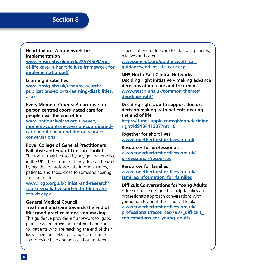# **Section 8**

# **Heart failure: A framework for implementation**

**[www.nhsiq.nhs.uk/media/2574509/end](http://www.nhsiq.nhs.uk/media/2574509/end-of-life-care-in-heart-failure-framework-for-implementation.pdf)[of-life-care-in-heart-failure-framework-for](http://www.nhsiq.nhs.uk/media/2574509/end-of-life-care-in-heart-failure-framework-for-implementation.pdf)[implementation.pdf](http://www.nhsiq.nhs.uk/media/2574509/end-of-life-care-in-heart-failure-framework-for-implementation.pdf)**

#### **Learning disabilities [www.nhsiq.nhs.uk/resource-search/](http://www.nhsiq.nhs.uk/resource-search/publications/eolc-rts-learning-disabilities.aspx) [publications/eolc-rts-learning-disabilities.](http://www.nhsiq.nhs.uk/resource-search/publications/eolc-rts-learning-disabilities.aspx)**

**[aspx](http://www.nhsiq.nhs.uk/resource-search/publications/eolc-rts-learning-disabilities.aspx)**

# **Every Moment Counts: A narrative for person centred coordinated care for people near the end of life**

**[www.nationalvoices.org.uk/every](http://www.nationalvoices.org.uk/every-moment-counts-new-vision-coordinated-care-people-near-end-life-calls-brave-conversations)[moment-counts-new-vision-coordinated](http://www.nationalvoices.org.uk/every-moment-counts-new-vision-coordinated-care-people-near-end-life-calls-brave-conversations)[care-people-near-end-life-calls-brave](http://www.nationalvoices.org.uk/every-moment-counts-new-vision-coordinated-care-people-near-end-life-calls-brave-conversations)[conversations](http://www.nationalvoices.org.uk/every-moment-counts-new-vision-coordinated-care-people-near-end-life-calls-brave-conversations)**

# **Royal College of General Practitioners Palliative and End of Life care Toolkit**

The toolkit may be used by any general practice in the UK. The resources it provides can be used by healthcare professionals, informal carers, patients, and those close to someone nearing the end of life.

#### **[www.rcgp.org.uk/clinical-and-research/](http://www.rcgp.org.uk/clinical-and-research/toolkits/palliative-and-end-of-life-care-toolkit.aspx) [toolkits/palliative-and-end-of-life-care](http://www.rcgp.org.uk/clinical-and-research/toolkits/palliative-and-end-of-life-care-toolkit.aspx)[toolkit.aspx](http://www.rcgp.org.uk/clinical-and-research/toolkits/palliative-and-end-of-life-care-toolkit.aspx)**

#### **General Medical Council Treatment and care towards the end of life: good practice in decision making**

This guidance provides a framework for good practice when providing treatment and care for patients who are reaching the end of their lives. There are links to a range of resources that provide help and advice about different

aspects of end of life care for doctors, patients, relatives and carers.

**[www.gmc-uk.org/guidance/ethical\\_](http://www.gmc-uk.org/guidance/ethical_guidance/end_of_life_care.asp) [guidance/end\\_of\\_life\\_care.asp](http://www.gmc-uk.org/guidance/ethical_guidance/end_of_life_care.asp)**

**NHS North East Clinical Networks Deciding right initiative – making advance decisions about care and treatment [www.nescn.nhs.uk/common-themes/](http://www.nescn.nhs.uk/common-themes/deciding-right/) [deciding-right/](http://www.nescn.nhs.uk/common-themes/deciding-right/)**

**Deciding right app to support doctors decision making with patients nearing the end of life [https://itunes.apple.com/gb/app/deciding](https://itunes.apple.com/gb/app/deciding-right/id918441387?mt=8)[right/id918441387?mt=8](https://itunes.apple.com/gb/app/deciding-right/id918441387?mt=8)**

**Together for short lives [www.togetherforshortlives.org.uk](http://www.togetherforshortlives.org.uk/)**

#### **Resources for professionals [www.togetherforshortlives.org.uk/](http://www.togetherforshortlives.org.uk/professionals/resources) [professionals/resources](http://www.togetherforshortlives.org.uk/professionals/resources)**

#### **Resources for families [www.togetherforshortlives.org.uk/](http://www.togetherforshortlives.org.uk/families/information_for_families) [families/information\\_for\\_families](http://www.togetherforshortlives.org.uk/families/information_for_families)**

# **Difficult Conversations for Young Adults**

A free resource designed to help families and professionals approach conversations with young adults about their end of life plans. **[www.togetherforshortlives.org.uk/](http://www.togetherforshortlives.org.uk/professionals/resources/7837_difficult_conversations_for_young_adults) [professionals/resources/7837\\_difficult\\_](http://www.togetherforshortlives.org.uk/professionals/resources/7837_difficult_conversations_for_young_adults) [conversations\\_for\\_young\\_adults](http://www.togetherforshortlives.org.uk/professionals/resources/7837_difficult_conversations_for_young_adults)**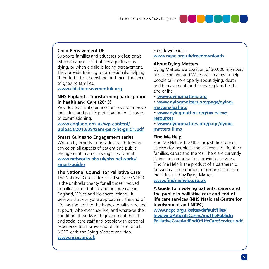

# **Child Bereavement UK**

Supports families and educates professionals when a baby or child of any age dies or is dying, or when a child is facing bereavement. They provide training to professionals, helping them to better understand and meet the needs of grieving families.

**[www.childbereavementuk.org](http://www.childbereavementuk.org)**

#### **NHS England – Transforming participation in health and Care (2013)**

Provides practical guidance on how to improve individual and public participation in all stages of commissioning.

#### **[www.england.nhs.uk/wp-content/](http://www.england.nhs.uk/wp-content/uploads/2013/09/trans-part-hc-guid1.pdf) [uploads/2013/09/trans-part-hc-guid1.pdf](http://www.england.nhs.uk/wp-content/uploads/2013/09/trans-part-hc-guid1.pdf)**

#### **Smart Guides to Engagement series**

Written by experts to provide straightforward advice on all aspects of patient and public engagement in an easily digested format. **[www.networks.nhs.uk/nhs-networks/](http://www.networks.nhs.uk/nhs-networks/smart-guides) [smart-guides](http://www.networks.nhs.uk/nhs-networks/smart-guides)**

#### **The National Council for Palliative Care**

The National Council for Palliative Care (NCPC) is the umbrella charity for all those involved in palliative, end of life and hospice care in England, Wales and Northern Ireland. It believes that everyone approaching the end of life has the right to the highest quality care and support, wherever they live, and whatever their condition. It works with government, health and social care staff and people with personal experience to improve end of life care for all. NCPC leads the Dying Matters coalition. **[www.ncpc.org.uk](http://www.ncpc.org.uk)**

#### Free downloads – **[www.ncpc.org.uk/freedownloads](http://www.ncpc.org.uk/freedownloads)**

# **About Dying Matters**

Dying Matters is a coalition of 30,000 members across England and Wales which aims to help people talk more openly about dying, death and bereavement, and to make plans for the end of life.

- **[www.dyingmatters.org](http://www.dyingmatters.org)**
- **[www.dyingmatters.org/page/dying](http://www.dyingmatters.org/page/dying-matters-leaflets)[matters-leaflets](http://www.dyingmatters.org/page/dying-matters-leaflets)**
- **[www.dyingmatters.org/overview/](http://www.dyingmatters.org/overview/resources) [resources](http://www.dyingmatters.org/overview/resources)**
- **[www.dyingmatters.org/page/dying](http://www.dyingmatters.org/page/dying-matters-films)[matters-films](http://www.dyingmatters.org/page/dying-matters-films)**

#### **Find Me Help**

Find Me Help is the UK's largest directory of services for people in the last years of life, their families, carers and friends. There are currently listings for organisations providing services. Find Me Help is the product of a partnership between a large number of organisations and individuals led by Dying Matters. **[www.findmehelp.org.uk](http://www.findmehelp.org.uk)**

**A Guide to involving patients, carers and the public in palliative care and end of life care services (NHS National Centre for Involvement and NCPC)**

**[www.ncpc.org.uk/sites/default/files/](http://www.ncpc.org.uk/sites/default/files/InvolvingPatientsCarersAndThePublicInPalliativeCareAndEndOfLifeCareServices.pdf) [InvolvingPatientsCarersAndThePublicIn](http://www.ncpc.org.uk/sites/default/files/InvolvingPatientsCarersAndThePublicInPalliativeCareAndEndOfLifeCareServices.pdf) [PalliativeCareAndEndOfLifeCareServices.pdf](http://www.ncpc.org.uk/sites/default/files/InvolvingPatientsCarersAndThePublicInPalliativeCareAndEndOfLifeCareServices.pdf)**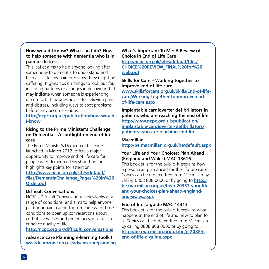# **How would I know? What can I do? How to help someone with dementia who is in pain or distress**

This leaflet aims to help anyone looking after someone with dementia to understand and help alleviate any pain or distress they might be suffering. It gives tips on things to look out for, including patterns or changes in behaviour that may indicate when someone is experiencing discomfort. It includes advice for relieving pain and distress, including ways to spot problems before they become serious.

**[http://ncpc.org.uk/publication/how-would-](http://ncpc.org.uk/publication/how-would-I-know)[I-know](http://ncpc.org.uk/publication/how-would-I-know)**

#### **Rising to the Prime Minister's Challenge on Dementia – A spotlight on end of life care**

The Prime Minister's Dementia Challenge, launched in March 2012, offers a major opportunity to improve end of life care for people with dementia. This short briefing highlights key points for attention. **[http://www.ncpc.org.uk/sites/default/](http://www.ncpc.org.uk/sites/default/files/DementiaChallenge_Pages%20in%20Order.pdf) [files/DementiaChallenge\\_Pages%20in%20](http://www.ncpc.org.uk/sites/default/files/DementiaChallenge_Pages%20in%20Order.pdf) [Order.pdf](http://www.ncpc.org.uk/sites/default/files/DementiaChallenge_Pages%20in%20Order.pdf)**

# **Difficult Conversations**

NCPC's Difficult Conversations series looks at a range of conditions, and aims to help anyone, paid or unpaid, caring for someone with those conditions to open up conversations about end of life wishes and preferences, in order to enhance quality of life.

**[http://ncpc.org.uk/difficult\\_conversations](http://ncpc.org.uk/difficult_conversations)**

**Advance Care Planning e-learning toolkit [www.learnzone.org.uk/advancecareplanning](http://www.LearnZone.org.uk/advancecareplanning)** **What's Important To Me: A Review of Choice in End of Life Care [http://ncpc.org.uk/sites/default/files/](http://ncpc.org.uk/sites/default/files/CHOICE%20REVIEW_FINAL%20for%20web.pdf) [CHOICE%20REVIEW\\_FINAL%20for%20](http://ncpc.org.uk/sites/default/files/CHOICE%20REVIEW_FINAL%20for%20web.pdf) [web.pdf](http://ncpc.org.uk/sites/default/files/CHOICE%20REVIEW_FINAL%20for%20web.pdf)**

**Skills for Care – Working together to improve end of life care [www.skillsforcare.org.uk/Skills/End-of-life](http://www.skillsforcare.org.uk/Skills/End-of-life-care/Working-together-to-improve-end-of-life-care.aspx)[care/Working-together-to-improve-end](http://www.skillsforcare.org.uk/Skills/End-of-life-care/Working-together-to-improve-end-of-life-care.aspx)[of-life-care.aspx](http://www.skillsforcare.org.uk/Skills/End-of-life-care/Working-together-to-improve-end-of-life-care.aspx)**

**Implantable cardioverter defibrillators in patients who are reaching the end of life [http://www.ncpc.org.uk/publication/](http://www.ncpc.org.uk/publication/implantable-cardioverter-defibrillators-patients-who-are-reaching-end-life) [implantable-cardioverter-defibrillators](http://www.ncpc.org.uk/publication/implantable-cardioverter-defibrillators-patients-who-are-reaching-end-life)[patients-who-are-reaching-end-life](http://www.ncpc.org.uk/publication/implantable-cardioverter-defibrillators-patients-who-are-reaching-end-life)**

#### **Macmillan**

**http://be.macmillan.org.uk/be/default.aspx**

# **Your Life and Your Choices: Plan Ahead (England and Wales) MAC 13616**

This booklet is for the public, it explains how a person can plan ahead for their future care. Copies can be ordered free from Macmillan by calling 0808 808 0000 or by going to **[http://](http://be.macmillan.org.uk/be/p-20337-your-life-and-your-choices-plan-ahead-england-and-wales.aspx) [be.macmillan.org.uk/be/p-20337-your-life](http://be.macmillan.org.uk/be/p-20337-your-life-and-your-choices-plan-ahead-england-and-wales.aspx)[and-your-choices-plan-ahead-england](http://be.macmillan.org.uk/be/p-20337-your-life-and-your-choices-plan-ahead-england-and-wales.aspx)[and-wales.aspx](http://be.macmillan.org.uk/be/p-20337-your-life-and-your-choices-plan-ahead-england-and-wales.aspx)**

# **End of life: a guide MAC 14313**

This booklet is for the public, it explains what happens at the end of life and how to plan for it. Copies can be ordered free from Macmillan by calling 0808 808 0000 or by going to **[http://be.macmillan.org.uk/be/p-20885](http://be.macmillan.org.uk/be/p-20885-end-of-life-a-guide.aspx) [end-of-life-a-guide.aspx](http://be.macmillan.org.uk/be/p-20885-end-of-life-a-guide.aspx)**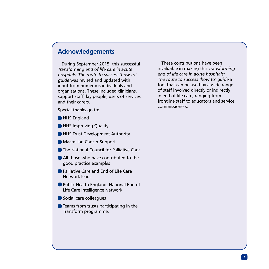# **Acknowledgements**

During September 2015, this successful Transforming end of life care in acute hospitals: The route to success 'how to' guide was revised and updated with input from numerous individuals and organisations. These included clinicians, support staff, lay people, users of services and their carers.

Special thanks go to:

- **O** NHS England
- **O** NHS Improving Quality
- **O** NHS Trust Development Authority
- **Macmillan Cancer Support**
- **The National Council for Palliative Care**
- All those who have contributed to the good practice examples
- **Palliative Care and End of Life Care** Network leads
- **Public Health England, National End of** Life Care Intelligence Network
- Social care colleagues
- **Teams from trusts participating in the** Transform programme.

These contributions have been invaluable in making this Transforming end of life care in acute hospitals: The route to success 'how to' guide a tool that can be used by a wide range of staff involved directly or indirectly in end of life care, ranging from frontline staff to educators and service commissioners.